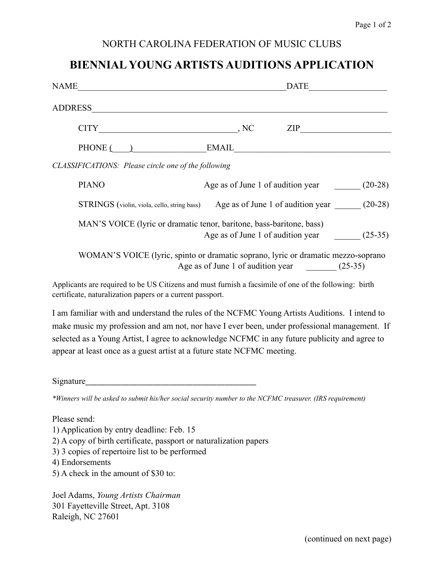### NORTH CAROLINA FEDERATION OF MUSIC CLUBS

# **BIENNIAL YOUNG ARTISTS AUDITIONS APPLICATION**

| NAME                                                                                                                                     | <b>DATE</b>                                                                                                                    |                |
|------------------------------------------------------------------------------------------------------------------------------------------|--------------------------------------------------------------------------------------------------------------------------------|----------------|
| <b>ADDRESS</b><br><u> 1989 - Johann John Stoff, deutscher Stoffen und der Stoffen und der Stoffen und der Stoffen und der Stoffen un</u> |                                                                                                                                |                |
| <b>CITY</b>                                                                                                                              |                                                                                                                                | $\mathsf{ZIP}$ |
| $PHONE$ $\qquad$                                                                                                                         | $EMAIL \t[1, 1, 1, 1]$                                                                                                         |                |
| CLASSIFICATIONS: Please circle one of the following                                                                                      |                                                                                                                                |                |
| <b>PIANO</b>                                                                                                                             | Age as of June 1 of audition year (20-28)                                                                                      |                |
|                                                                                                                                          | STRINGS (violin, viola, cello, string bass) Age as of June 1 of audition year (20-28)                                          |                |
| MAN'S VOICE (lyric or dramatic tenor, baritone, bass-baritone, bass)                                                                     | Age as of June 1 of audition year (25-35)                                                                                      |                |
|                                                                                                                                          | WOMAN'S VOICE (lyric, spinto or dramatic soprano, lyric or dramatic mezzo-soprano<br>Age as of June 1 of audition year (25-35) |                |
| Applicants are required to be US Citizens and must furnish a facsimile of one of the following: birth                                    |                                                                                                                                |                |

Applicants are required to be US Citizens and must furnish a facsimile of one of the following: birth certificate, naturalization papers or a current passport.

I am familiar with and understand the rules of the NCFMC Young Artists Auditions. I intend to make music my profession and am not, nor have I ever been, under professional management. If selected as a Young Artist, I agree to acknowledge NCFMC in any future publicity and agree to appear at least once as a guest artist at a future state NCFMC meeting.

Signature\_\_\_\_\_\_\_\_\_\_\_\_\_\_\_\_\_\_\_\_\_\_\_\_\_\_\_\_\_\_\_\_\_\_\_\_\_\_\_\_\_\_\_ 

*\*Winners will be asked to submit his/her social security number to the NCFMC treasurer. (IRS requirement)* 

Please send:

- 1) Application by entry deadline: Feb. 15
- 2) A copy of birth certificate, passport or naturalization papers
- 3) 3 copies of repertoire list to be performed
- 4) Endorsements
- 5) A check in the amount of \$30 to:

Joel Adams, *Young Artists Chairman* 301 Fayetteville Street, Apt. 3108 Raleigh, NC 27601